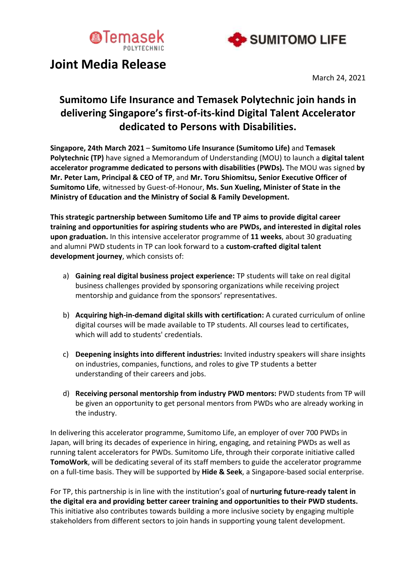



# **Joint Media Release**

March 24, 2021

# **Sumitomo Life Insurance and Temasek Polytechnic join hands in delivering Singapore's first-of-its-kind Digital Talent Accelerator dedicated to Persons with Disabilities.**

**Singapore, 24th March 2021** – **Sumitomo Life Insurance (Sumitomo Life)** and **Temasek Polytechnic (TP)** have signed a Memorandum of Understanding (MOU) to launch a **digital talent accelerator programme dedicated to persons with disabilities (PWDs).** The MOU was signed **by Mr. Peter Lam, Principal & CEO of TP**, and **Mr. Toru Shiomitsu, Senior Executive Officer of Sumitomo Life**, witnessed by Guest-of-Honour, **Ms. Sun Xueling, Minister of State in the Ministry of Education and the Ministry of Social & Family Development.**

**This strategic partnership between Sumitomo Life and TP aims to provide digital career training and opportunities for aspiring students who are PWDs, and interested in digital roles upon graduation.** In this intensive accelerator programme of **11 weeks**, about 30 graduating and alumni PWD students in TP can look forward to a **custom-crafted digital talent development journey**, which consists of:

- a) **Gaining real digital business project experience:** TP students will take on real digital business challenges provided by sponsoring organizations while receiving project mentorship and guidance from the sponsors' representatives.
- b) **Acquiring high-in-demand digital skills with certification:** A curated curriculum of online digital courses will be made available to TP students. All courses lead to certificates, which will add to students' credentials.
- c) **Deepening insights into different industries:** Invited industry speakers will share insights on industries, companies, functions, and roles to give TP students a better understanding of their careers and jobs.
- d) **Receiving personal mentorship from industry PWD mentors:** PWD students from TP will be given an opportunity to get personal mentors from PWDs who are already working in the industry.

In delivering this accelerator programme, Sumitomo Life, an employer of over 700 PWDs in Japan, will bring its decades of experience in hiring, engaging, and retaining PWDs as well as running talent accelerators for PWDs. Sumitomo Life, through their corporate initiative called **TomoWork**, will be dedicating several of its staff members to guide the accelerator programme on a full-time basis. They will be supported by **Hide & Seek**, a Singapore-based social enterprise.

For TP, this partnership is in line with the institution's goal of **nurturing future-ready talent in the digital era and providing better career training and opportunities to their PWD students.** This initiative also contributes towards building a more inclusive society by engaging multiple stakeholders from different sectors to join hands in supporting young talent development.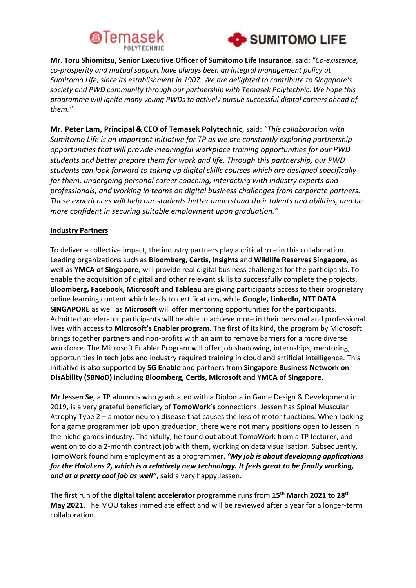



**Mr. Toru Shiomitsu, Senior Executive Officer of Sumitomo Life Insurance**, said: *"Co-existence, co-prosperity and mutual support have always been an integral management policy at Sumitomo Life, since its establishment in 1907. We are delighted to contribute to Singapore's society and PWD community through our partnership with Temasek Polytechnic. We hope this programme will ignite many young PWDs to actively pursue successful digital careers ahead of them."*

**Mr. Peter Lam, Principal & CEO of Temasek Polytechnic**, said: *"This collaboration with Sumitomo Life is an important initiative for TP as we are constantly exploring partnership opportunities that will provide meaningful workplace training opportunities for our PWD students and better prepare them for work and life. Through this partnership, our PWD students can look forward to taking up digital skills courses which are designed specifically for them, undergoing personal career coaching, interacting with industry experts and professionals, and working in teams on digital business challenges from corporate partners. These experiences will help our students better understand their talents and abilities, and be more confident in securing suitable employment upon graduation."*

## **Industry Partners**

To deliver a collective impact, the industry partners play a critical role in this collaboration. Leading organizations such as **Bloomberg, Certis, Insights** and **Wildlife Reserves Singapore**, as well as **YMCA of Singapore**, will provide real digital business challenges for the participants. To enable the acquisition of digital and other relevant skills to successfully complete the projects, **Bloomberg, Facebook, Microsoft** and **Tableau** are giving participants access to their proprietary online learning content which leads to certifications, while **Google, LinkedIn, NTT DATA SINGAPORE** as well as **Microsoft** will offer mentoring opportunities for the participants. Admitted accelerator participants will be able to achieve more in their personal and professional lives with access to **Microsoft's Enabler program**. The first of its kind, the program by Microsoft brings together partners and non-profits with an aim to remove barriers for a more diverse workforce. The Microsoft Enabler Program will offer job shadowing, internships, mentoring, opportunities in tech jobs and industry required training in cloud and artificial intelligence. This initiative is also supported by **SG Enable** and partners from **Singapore Business Network on DisAbility (SBNoD)** including **Bloomberg, Certis, Microsoft** and **YMCA of Singapore.**

**Mr Jessen Se**, a TP alumnus who graduated with a Diploma in Game Design & Development in 2019, is a very grateful beneficiary of **TomoWork's** connections. Jessen has Spinal Muscular Atrophy Type 2 – a motor neuron disease that causes the loss of motor functions. When looking for a game programmer job upon graduation, there were not many positions open to Jessen in the niche games industry. Thankfully, he found out about TomoWork from a TP lecturer, and went on to do a 2-month contract job with them, working on data visualisation. Subsequently, TomoWork found him employment as a programmer. *"My job is about developing applications for the HoloLens 2, which is a relatively new technology. It feels great to be finally working, and at a pretty cool job as well"*, said a very happy Jessen.

The first run of the **digital talent accelerator programme** runs from **15th March 2021 to 28th May 2021**. The MOU takes immediate effect and will be reviewed after a year for a longer-term collaboration.